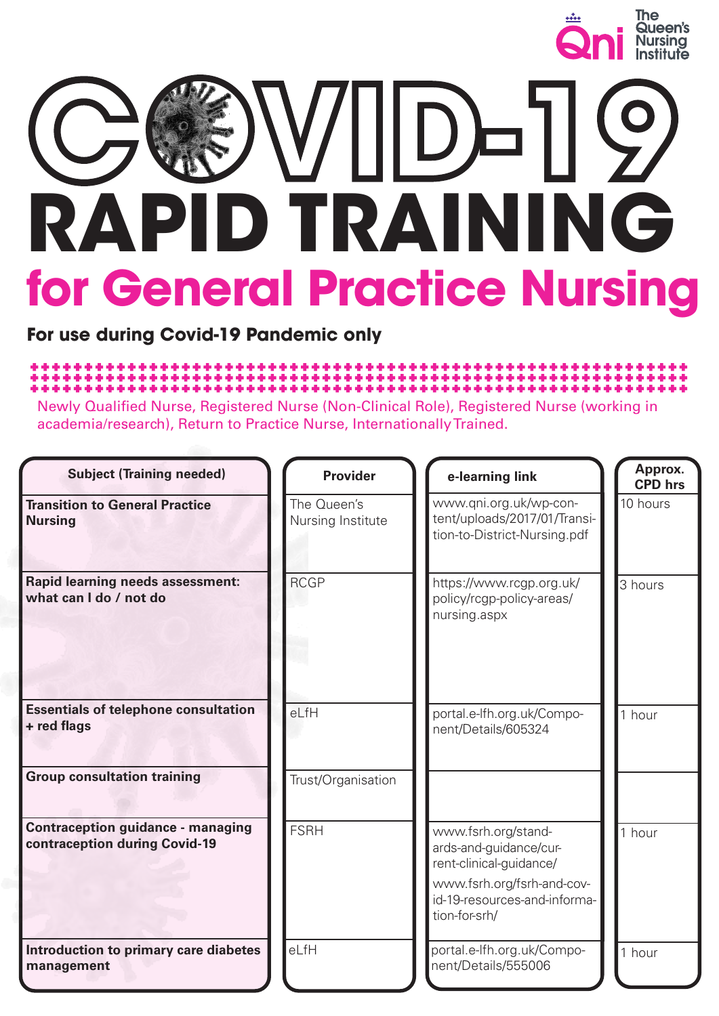

# **RAPID TRAINING for General Practice Nursing C VID-19**

**For use during Covid-19 Pandemic only**

### 

Newly Qualified Nurse, Registered Nurse (Non-Clinical Role), Registered Nurse (working in academia/research), Return to Practice Nurse, Internationally Trained.

| <b>Subject (Training needed)</b>                                          | <b>Provider</b>                  | e-learning link                                                                                                                                         | Approx.<br><b>CPD</b> hrs |
|---------------------------------------------------------------------------|----------------------------------|---------------------------------------------------------------------------------------------------------------------------------------------------------|---------------------------|
| <b>Transition to General Practice</b><br><b>Nursing</b>                   | The Queen's<br>Nursing Institute | www.qni.org.uk/wp-con-<br>tent/uploads/2017/01/Transi-<br>tion-to-District-Nursing.pdf                                                                  | 10 hours                  |
| <b>Rapid learning needs assessment:</b><br>what can I do / not do         | <b>RCGP</b>                      | https://www.rcgp.org.uk/<br>policy/rcgp-policy-areas/<br>nursing.aspx                                                                                   | 3 hours                   |
| <b>Essentials of telephone consultation</b><br>+ red flags                | eLfH                             | portal.e-lfh.org.uk/Compo-<br>nent/Details/605324                                                                                                       | 1 hour                    |
| <b>Group consultation training</b>                                        | Trust/Organisation               |                                                                                                                                                         |                           |
| <b>Contraception guidance - managing</b><br>contraception during Covid-19 | <b>FSRH</b>                      | www.fsrh.org/stand-<br>ards-and-guidance/cur-<br>rent-clinical-guidance/<br>www.fsrh.org/fsrh-and-cov-<br>id-19-resources-and-informa-<br>tion-for-srh/ | 1 hour                    |
| Introduction to primary care diabetes<br>management                       | eLfH                             | portal.e-lfh.org.uk/Compo-<br>nent/Details/555006                                                                                                       | 1 hour                    |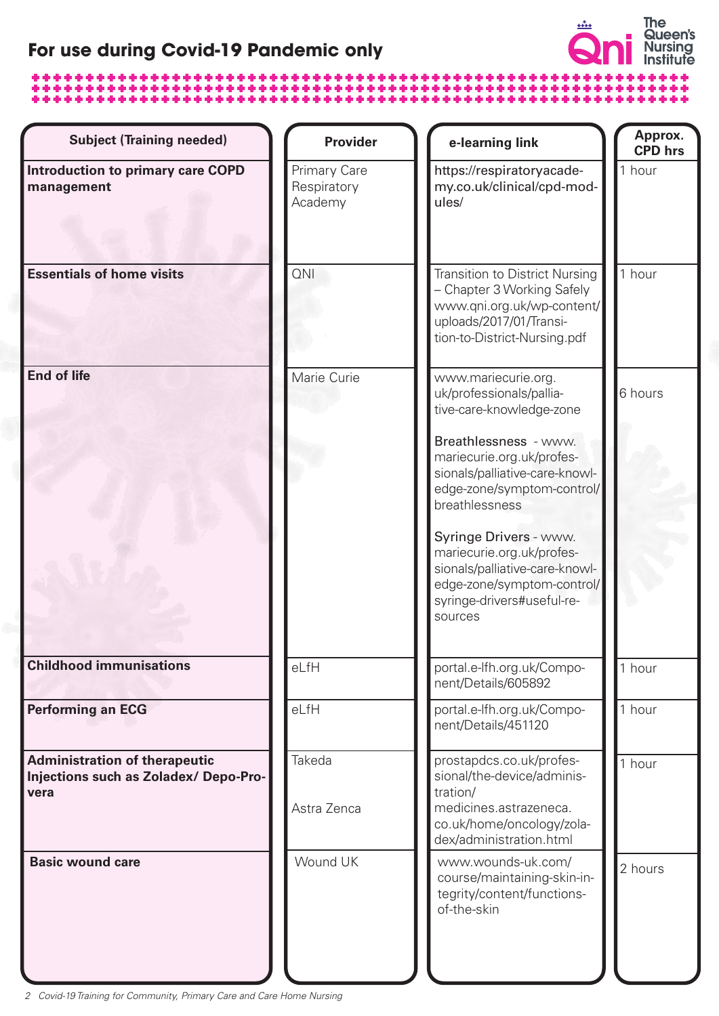## **For use during Covid-19 Pandemic only**

# 

| <b>Subject (Training needed)</b>                                                     | <b>Provider</b>                        | e-learning link                                                                                                                                              | Approx.<br><b>CPD</b> hrs |
|--------------------------------------------------------------------------------------|----------------------------------------|--------------------------------------------------------------------------------------------------------------------------------------------------------------|---------------------------|
| <b>Introduction to primary care COPD</b><br>management                               | Primary Care<br>Respiratory<br>Academy | https://respiratoryacade-<br>my.co.uk/clinical/cpd-mod-<br>ules/                                                                                             | 1 hour                    |
| <b>Essentials of home visits</b>                                                     | <b>QNI</b>                             | <b>Transition to District Nursing</b><br>- Chapter 3 Working Safely<br>www.qni.org.uk/wp-content/<br>uploads/2017/01/Transi-<br>tion-to-District-Nursing.pdf | 1 hour                    |
| <b>End of life</b>                                                                   | Marie Curie                            | www.mariecurie.org.<br>uk/professionals/pallia-<br>tive-care-knowledge-zone<br>Breathlessness - www.<br>mariecurie.org.uk/profes-                            | 6 hours                   |
|                                                                                      |                                        | sionals/palliative-care-knowl-<br>edge-zone/symptom-control/<br>breathlessness                                                                               |                           |
|                                                                                      |                                        | Syringe Drivers - www.<br>mariecurie.org.uk/profes-<br>sionals/palliative-care-knowl-<br>edge-zone/symptom-control/<br>syringe-drivers#useful-re-<br>sources |                           |
| <b>Childhood immunisations</b>                                                       | eLfH                                   | portal.e-lfh.org.uk/Compo-<br>nent/Details/605892                                                                                                            | 1 hour                    |
| <b>Performing an ECG</b>                                                             | eLfH                                   | portal.e-lfh.org.uk/Compo-<br>nent/Details/451120                                                                                                            | 1 hour                    |
| <b>Administration of therapeutic</b><br>Injections such as Zoladex/Depo-Pro-<br>vera | Takeda                                 | prostapdcs.co.uk/profes-<br>sional/the-device/adminis-<br>tration/                                                                                           | 1 hour                    |
|                                                                                      | Astra Zenca                            | medicines.astrazeneca.<br>co.uk/home/oncology/zola-<br>dex/administration.html                                                                               |                           |
| <b>Basic wound care</b>                                                              | Wound UK                               | www.wounds-uk.com/<br>course/maintaining-skin-in-<br>tegrity/content/functions-<br>of-the-skin                                                               | 2 hours                   |

2 Covid-19 Training for Community, Primary Care and Care Home Nursing